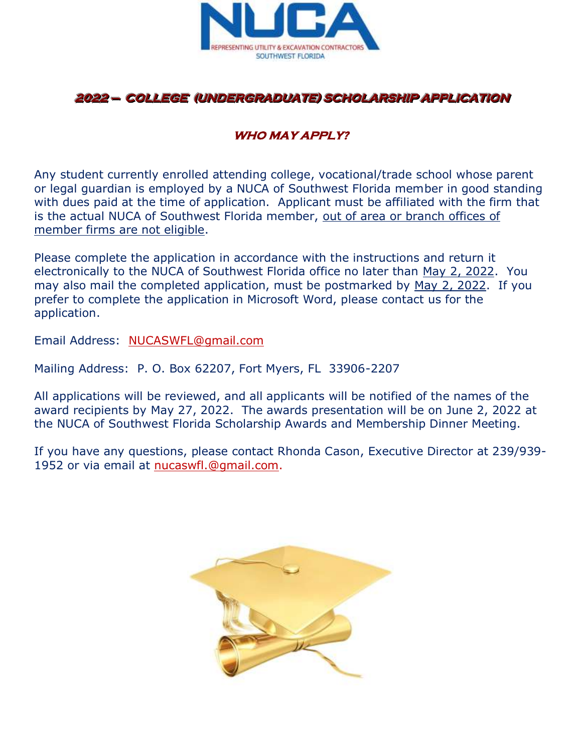

### **WHO MAY APPLY?**

Any student currently enrolled attending college, vocational/trade school whose parent or legal guardian is employed by a NUCA of Southwest Florida member in good standing with dues paid at the time of application. Applicant must be affiliated with the firm that is the actual NUCA of Southwest Florida member, out of area or branch offices of member firms are not eligible.

Please complete the application in accordance with the instructions and return it electronically to the NUCA of Southwest Florida office no later than May 2, 2022. You may also mail the completed application, must be postmarked by May 2, 2022. If you prefer to complete the application in Microsoft Word, please contact us for the application.

Email Address: [NUCASWFL@gmail.com](mailto:NUCASWFL@gmail.com)

Mailing Address: P. O. Box 62207, Fort Myers, FL 33906-2207

All applications will be reviewed, and all applicants will be notified of the names of the award recipients by May 27, 2022. The awards presentation will be on June 2, 2022 at the NUCA of Southwest Florida Scholarship Awards and Membership Dinner Meeting.

If you have any questions, please contact Rhonda Cason, Executive Director at 239/939- 1952 or via email at [nucaswfl.@gmail.com.](mailto:nucaswfl.@gmail.com)

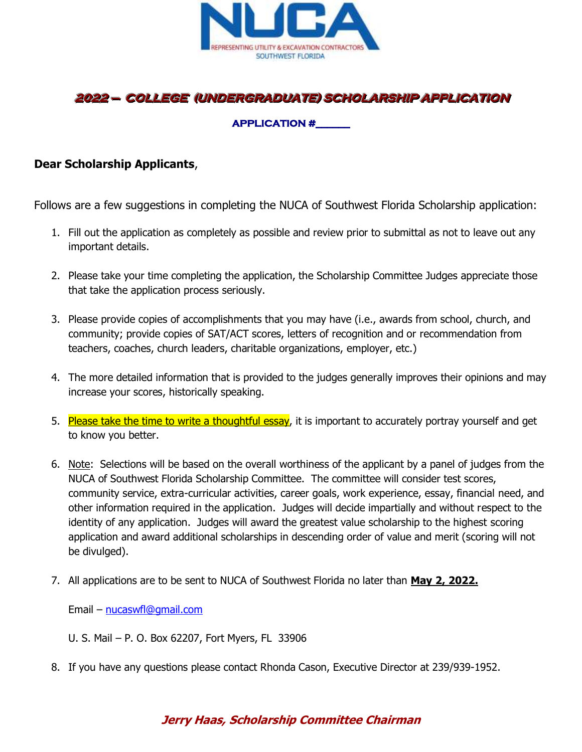

#### **APPLICATION #\_\_\_\_\_\_**

#### **Dear Scholarship Applicants**,

Follows are a few suggestions in completing the NUCA of Southwest Florida Scholarship application:

- 1. Fill out the application as completely as possible and review prior to submittal as not to leave out any important details.
- 2. Please take your time completing the application, the Scholarship Committee Judges appreciate those that take the application process seriously.
- 3. Please provide copies of accomplishments that you may have (i.e., awards from school, church, and community; provide copies of SAT/ACT scores, letters of recognition and or recommendation from teachers, coaches, church leaders, charitable organizations, employer, etc.)
- 4. The more detailed information that is provided to the judges generally improves their opinions and may increase your scores, historically speaking.
- 5. Please take the time to write a thoughtful essay, it is important to accurately portray yourself and get to know you better.
- 6. Note: Selections will be based on the overall worthiness of the applicant by a panel of judges from the NUCA of Southwest Florida Scholarship Committee. The committee will consider test scores, community service, extra-curricular activities, career goals, work experience, essay, financial need, and other information required in the application. Judges will decide impartially and without respect to the identity of any application. Judges will award the greatest value scholarship to the highest scoring application and award additional scholarships in descending order of value and merit (scoring will not be divulged).
- 7. All applications are to be sent to NUCA of Southwest Florida no later than **May 2, 2022.**

Email – [nucaswfl@gmail.com](mailto:nucaswfl@gmail.com)

- U. S. Mail P. O. Box 62207, Fort Myers, FL 33906
- 8. If you have any questions please contact Rhonda Cason, Executive Director at 239/939-1952.

### **Jerry Haas, Scholarship Committee Chairman**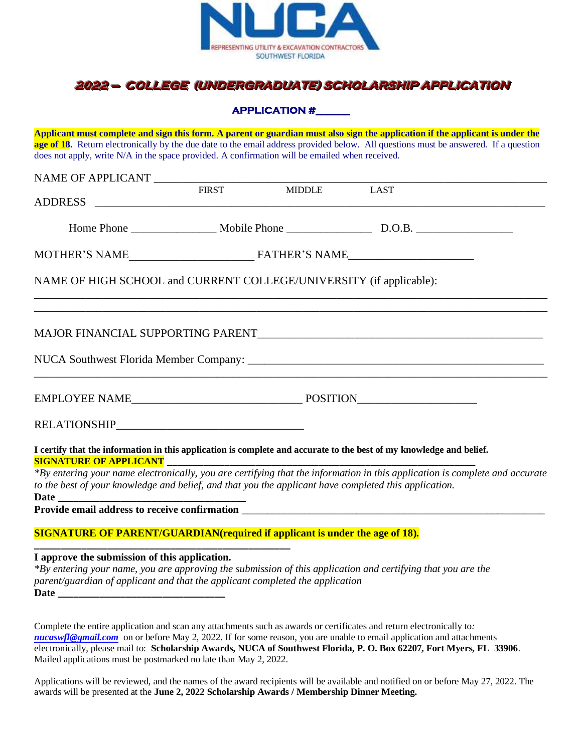

**APPLICATION #\_\_\_\_\_\_** 

**Applicant must complete and sign this form. A parent or guardian must also sign the application if the applicant is under the age of 18.** Return electronically by the due date to the email address provided below. All questions must be answered. If a question does not apply, write N/A in the space provided. A confirmation will be emailed when received.

|                                                                                                                  |  | FIRST MIDDLE LAST |                                                                                                                             |
|------------------------------------------------------------------------------------------------------------------|--|-------------------|-----------------------------------------------------------------------------------------------------------------------------|
|                                                                                                                  |  |                   |                                                                                                                             |
|                                                                                                                  |  |                   |                                                                                                                             |
| NAME OF HIGH SCHOOL and CURRENT COLLEGE/UNIVERSITY (if applicable):                                              |  |                   |                                                                                                                             |
|                                                                                                                  |  |                   |                                                                                                                             |
| and the control of the control of the control of the control of the control of the control of the control of the |  |                   |                                                                                                                             |
|                                                                                                                  |  |                   |                                                                                                                             |
|                                                                                                                  |  |                   |                                                                                                                             |
|                                                                                                                  |  |                   | I certify that the information in this application is complete and accurate to the best of my knowledge and belief.         |
| to the best of your knowledge and belief, and that you the applicant have completed this application.            |  |                   | *By entering your name electronically, you are certifying that the information in this application is complete and accurate |

**Date \_\_\_\_\_\_\_\_\_\_\_\_\_\_\_\_\_\_\_\_\_\_\_\_\_\_\_\_\_\_\_\_\_\_\_\_**

**Provide email address to receive confirmation** \_\_\_\_\_\_\_\_\_\_\_\_\_\_\_\_\_\_\_\_\_\_\_\_\_\_\_\_\_\_\_\_\_\_\_\_\_\_\_\_\_\_\_\_\_\_\_\_\_\_\_\_\_\_\_\_\_\_

#### **SIGNATURE OF PARENT/GUARDIAN(required if applicant is under the age of 18). \_\_\_\_\_\_\_\_\_\_\_\_\_\_\_\_\_\_\_\_\_\_\_\_\_\_\_\_\_\_\_\_\_\_\_\_\_\_\_\_\_\_\_\_\_\_\_\_\_**

**I approve the submission of this application.**

*\*By entering your name, you are approving the submission of this application and certifying that you are the parent/guardian of applicant and that the applicant completed the application* **Date \_\_\_\_\_\_\_\_\_\_\_\_\_\_\_\_\_\_\_\_\_\_\_\_\_\_\_\_\_\_\_\_**

Complete the entire application and scan any attachments such as awards or certificates and return electronically to*: [nucaswfl@gmail.com](mailto:nucaswfl@gmail.com)* on or before May 2, 2022. If for some reason, you are unable to email application and attachments electronically, please mail to: **Scholarship Awards, NUCA of Southwest Florida, P. O. Box 62207, Fort Myers, FL 33906**. Mailed applications must be postmarked no late than May 2, 2022.

Applications will be reviewed, and the names of the award recipients will be available and notified on or before May 27, 2022. The awards will be presented at the **June 2, 2022 Scholarship Awards / Membership Dinner Meeting.**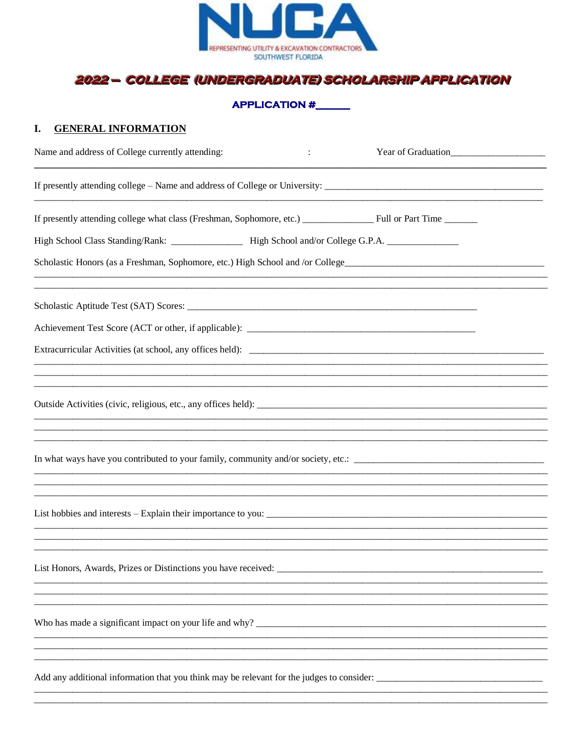

#### **APPLICATION #**

#### I. GENERAL INFORMATION

| Name and address of College currently attending:               | Year of Graduation |  |  |  |  |
|----------------------------------------------------------------|--------------------|--|--|--|--|
|                                                                |                    |  |  |  |  |
|                                                                |                    |  |  |  |  |
|                                                                |                    |  |  |  |  |
|                                                                |                    |  |  |  |  |
|                                                                |                    |  |  |  |  |
|                                                                |                    |  |  |  |  |
|                                                                |                    |  |  |  |  |
|                                                                |                    |  |  |  |  |
|                                                                |                    |  |  |  |  |
|                                                                |                    |  |  |  |  |
|                                                                |                    |  |  |  |  |
|                                                                |                    |  |  |  |  |
|                                                                |                    |  |  |  |  |
|                                                                |                    |  |  |  |  |
| List Honors, Awards, Prizes or Distinctions you have received: |                    |  |  |  |  |
|                                                                |                    |  |  |  |  |
|                                                                |                    |  |  |  |  |
|                                                                |                    |  |  |  |  |
|                                                                |                    |  |  |  |  |